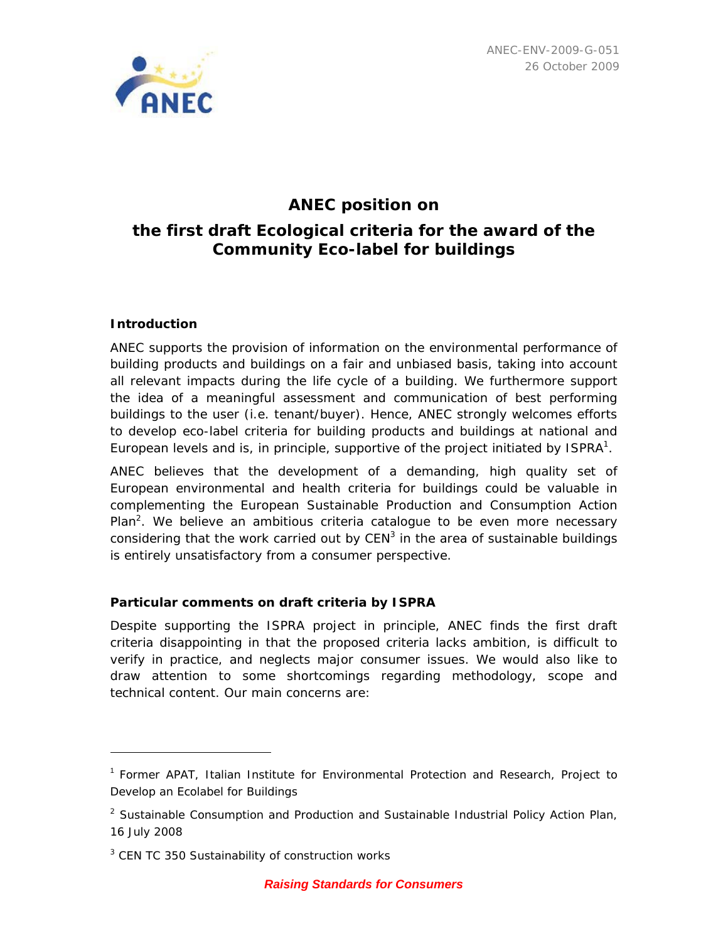

# **ANEC position on the first draft Ecological criteria for the award of the Community Eco-label for buildings**

# **Introduction**

 $\overline{a}$ 

ANEC supports the provision of information on the environmental performance of building products and buildings on a fair and unbiased basis, taking into account all relevant impacts during the life cycle of a building. We furthermore support the idea of a meaningful assessment and communication of best performing buildings to the user (i.e. tenant/buyer). Hence, ANEC strongly welcomes efforts to develop eco-label criteria for building products and buildings at national and European levels and is, in principle, supportive of the project initiated by  $ISPRA<sup>1</sup>$ .

ANEC believes that the development of a demanding, high quality set of European environmental and health criteria for buildings could be valuable in complementing the European Sustainable Production and Consumption Action Plan<sup>2</sup>. We believe an ambitious criteria catalogue to be even more necessary considering that the work carried out by  $CEN<sup>3</sup>$  in the area of sustainable buildings is entirely unsatisfactory from a consumer perspective.

# **Particular comments on draft criteria by ISPRA**

Despite supporting the ISPRA project in principle, ANEC finds the first draft criteria disappointing in that the proposed criteria lacks ambition, is difficult to verify in practice, and neglects major consumer issues. We would also like to draw attention to some shortcomings regarding methodology, scope and technical content. Our main concerns are:

<sup>1</sup> Former APAT, Italian Institute for Environmental Protection and Research, Project to Develop an Ecolabel for Buildings

<sup>&</sup>lt;sup>2</sup> Sustainable Consumption and Production and Sustainable Industrial Policy Action Plan, 16 July 2008

<sup>&</sup>lt;sup>3</sup> CEN TC 350 Sustainability of construction works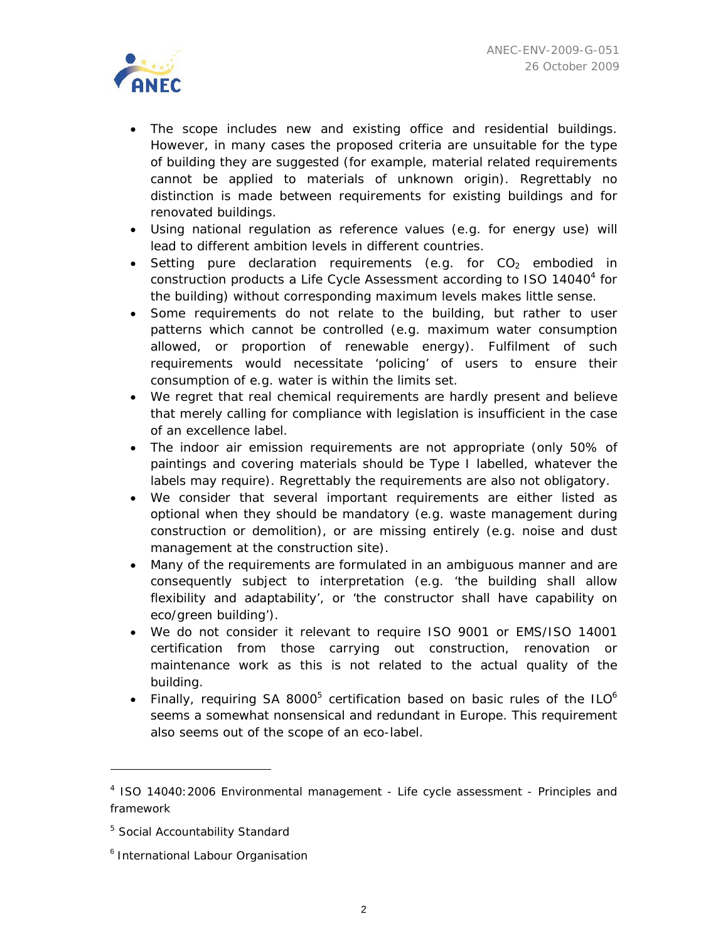

- The scope includes new and existing office and residential buildings. However, in many cases the proposed criteria are unsuitable for the type of building they are suggested (for example, material related requirements cannot be applied to materials of unknown origin). Regrettably no distinction is made between requirements for existing buildings and for renovated buildings.
- Using national regulation as reference values (e.g. for energy use) will lead to different ambition levels in different countries.
- Setting pure declaration requirements (e.g. for  $CO<sub>2</sub>$  embodied in construction products a Life Cycle Assessment according to ISO 14040<sup>4</sup> for the building) without corresponding maximum levels makes little sense.
- Some requirements do not relate to the building, but rather to user patterns which cannot be controlled (e.g. maximum water consumption allowed, or proportion of renewable energy). Fulfilment of such requirements would necessitate 'policing' of users to ensure their consumption of e.g. water is within the limits set.
- We regret that real chemical requirements are hardly present and believe that merely calling for compliance with legislation is insufficient in the case of an excellence label.
- The indoor air emission requirements are not appropriate (only 50% of paintings and covering materials should be Type I labelled, whatever the labels may require). Regrettably the requirements are also not obligatory.
- We consider that several important requirements are either listed as optional when they should be mandatory (e.g. waste management during construction or demolition), or are missing entirely (e.g. noise and dust management at the construction site).
- Many of the requirements are formulated in an ambiguous manner and are consequently subject to interpretation (e.g. 'the building shall allow flexibility and adaptability', or 'the constructor shall have capability on eco/green building').
- We do not consider it relevant to require ISO 9001 or EMS/ISO 14001 certification from those carrying out construction, renovation or maintenance work as this is not related to the actual quality of the building.
- Finally, requiring SA 8000<sup>5</sup> certification based on basic rules of the ILO<sup>6</sup> seems a somewhat nonsensical and redundant in Europe. This requirement also seems out of the scope of an eco-label.

 $\overline{a}$ 

<sup>&</sup>lt;sup>4</sup> ISO 14040:2006 Environmental management - Life cycle assessment - Principles and framework

<sup>&</sup>lt;sup>5</sup> Social Accountability Standard

<sup>6</sup> International Labour Organisation